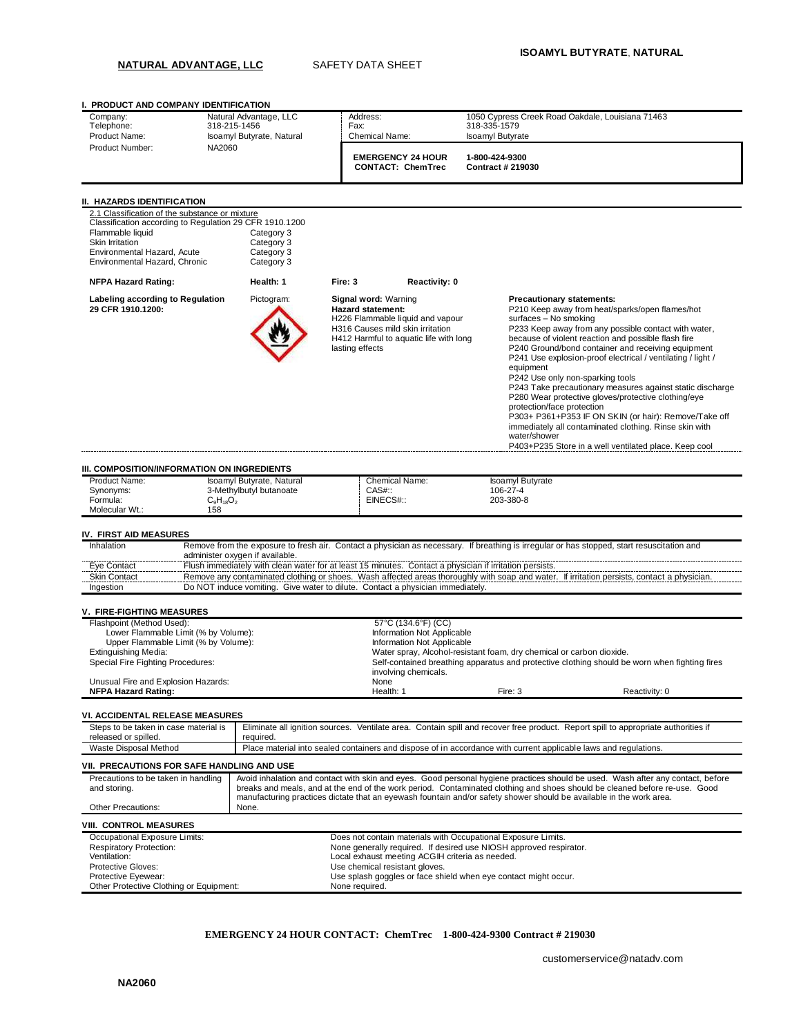## **NATURAL ADVANTAGE, LLC** SAFETY DATA SHEET

**I. PRODUCT AND COMPANY IDENTIFICATION** Company: Natural Advantage, LLC Address: 1050 Cypress Creek Road Oakdale, Louisiana 71463<br>
Telephone: 318-215-1456 Fax: 318-335-1579 September 2018-00-2018 Telephone: 318-215-1456 Fax: 318-335-1579 Product Name: Isoamyl Butyrate, Natural | Chemical Name: Isoamyl Butyrate Product Number: NA2060 **EMERGENCY 24 HOUR CONTACT: ChemTrec 1-800-424-9300 Contract # 219030 II. HAZARDS IDENTIFICATION** 2.1 Classification of the substance or mixture Classification according to Regulation 29 CFR 1910.1200 Flammable liquid<br>
Skin Irritation<br>
Category 3 Category 3<br>Category 3 Environmental Hazard, Acute Environmental Hazard, Chronic Category 3 **NFPA Hazard Rating: Health: 1 Fire: 3 Reactivity: 0 Labeling according to Regulation 29 CFR 1910.1200:** Pictogram: **Signal word:** Warning **Hazard statement:** H226 Flammable liquid and vapour H316 Causes mild skin irritation H412 Harmful to aquatic life with long lasting effects **Precautionary statements:** P210 Keep away from heat/sparks/open flames/hot surfaces – No smoking P233 Keep away from any possible contact with water, because of violent reaction and possible flash fire P240 Ground/bond container and receiving equipment P241 Use explosion-proof electrical / ventilating / light / equipment P242 Use only non-sparking tools P243 Take precautionary measures against static discharge P280 Wear protective gloves/protective clothing/eye protection/face protection P303+ P361+P353 IF ON SKIN (or hair): Remove/Take off immediately all contaminated clothing. Rinse skin with water/showe P403+P235 Store in a well ventilated place. Keep cool **III. COMPOSITION/INFORMATION ON INGREDIENTS** Product Name: Isoamyl Butyrate, Natural Chemical Name: Isoamyl Butyrate<br>
Synonyms: 3-Methylbutyl butanoate CAS#:: 106-27-4 3-Methylbutyl butanoate CAS#:: 106-27-4<br>C<sub>s</sub>H<sub>18</sub>O<sub>2</sub> 203-380-8 Formula:  $C_9H_{18}O_2$  EINECS#:: 203-380-8 Molecular Wt.: 158 **IV. FIRST AID MEASURES** Inhalation Remove from the exposure to fresh air. Contact a physician as necessary. If breathing is irregular or has stopped, start resuscitation and administer oxygen if available. Eye Contact Flush immediately with clean water for at least 15 minutes. Contact a physician if irritation persists. Skin Contact Remove any contaminated clothing or shoes. Wash affected areas thoroughly with soap and water. If irritation persists, contact a physician Ingestion Do NOT induce vomiting. Give water to dilute. Contact a physician immediately. **V. FIRE-FIGHTING MEASURES** Flashpoint (Method Used): 57°C (134.6°F) (CC) Lower Flammable Limit (% by Volume):<br>
Upper Flammable Limit (% by Volume): Information Not Applicable<br>
Information Not Applicable Upper Flammable Limit (% by Volume):<br>Extinguishing Media: Extinguishing Media: The Communisty of the Mater Spray, Alcohol-resistant foam, dry chemical or carbon dioxide.<br>
Self-contained breathing apparatus and protective clothing should be Self-contained breathing apparatus and p Self-contained breathing apparatus and protective clothing should be worn when fighting fires involving chemicals. Unusual Fire and Explosion Hazards: None Wallen and Explosion Hazards: None Wallen Broadway (None Wallen)<br>
University of the Health: 1 **NFPA Hazard Rating:** The Maximum Computer of Health: 1 Fire: 3 **Reactivity: 0** Reactivity: 0 **VI. ACCIDENTAL RELEASE MEASURES** Steps to be taken in case material is released or spilled.<br>Waste Disposal Method Eliminate all ignition sources. Ventilate area. Contain spill and recover free product. Report spill to appropriate authorities if required. Place material into sealed containers and dispose of in accordance with current applicable laws and regulations. **VII. PRECAUTIONS FOR SAFE HANDLING AND USE** Precautions to be taken in handling and storing. Avoid inhalation and contact with skin and eyes. Good personal hygiene practices should be used. Wash after any contact, before breaks and meals, and at the end of the work period. Contaminated clothing and shoes should be cleaned before re-use. Good manufacturing practices dictate that an eyewash fountain and/or safety shower should be available in the work area. Other Precautions: None. **VIII. CONTROL MEASURES** Occupational Exposure Limits: <br>
Respiratory Protection: The Contain materials with Occupational Exposure Limits.<br>
None generally required. If desired use NIOSH approved respi Respiratory Protection: None generally required. If desired use NIOSH approved respirator.<br>Nentilation: Networkships are also assembly consider the control of the control of the consideration of the co Ventilation: The Content of the Content of the Content of the Content of the Content of the Content of the Content of the Content of the Content of the Content of the Content of the Content of the Content of the Content of Protective Gloves:<br>
Protective Eyewear:<br>
Protective Eyewear:<br>
Use splash googles or face sh Use splash goggles or face shield when eye contact might occur. Other Protective Clothing or Equipment: None required.

### **EMERGENCY 24 HOUR CONTACT: ChemTrec 1-800-424-9300 Contract # 219030**